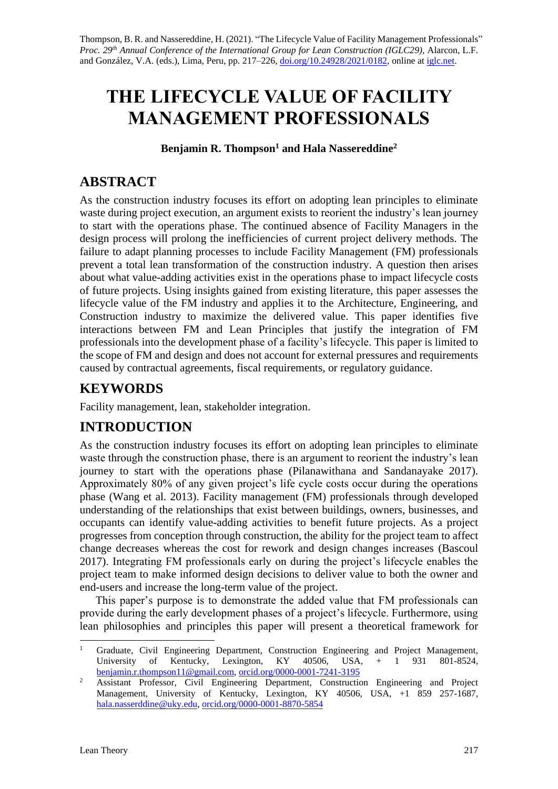Thompson, B. R. and Nassereddine, H. (2021). "The Lifecycle Value of Facility Management Professionals" *Proc. 29 th Annual Conference of the International Group for Lean Construction (IGLC29),* Alarcon, L.F. and González, V.A. (eds.)*,* Lima, Peru, pp. 217–226, [doi.org/10.24928/2021/0182,](https://doi.org/10.24928/2021/0182) online at [iglc.net.](http://iglc.net/)

# **THE LIFECYCLE VALUE OF FACILITY MANAGEMENT PROFESSIONALS**

**Benjamin R. Thompson<sup>1</sup> and Hala Nassereddine<sup>2</sup>**

### **ABSTRACT**

As the construction industry focuses its effort on adopting lean principles to eliminate waste during project execution, an argument exists to reorient the industry's lean journey to start with the operations phase. The continued absence of Facility Managers in the design process will prolong the inefficiencies of current project delivery methods. The failure to adapt planning processes to include Facility Management (FM) professionals prevent a total lean transformation of the construction industry. A question then arises about what value-adding activities exist in the operations phase to impact lifecycle costs of future projects. Using insights gained from existing literature, this paper assesses the lifecycle value of the FM industry and applies it to the Architecture, Engineering, and Construction industry to maximize the delivered value. This paper identifies five interactions between FM and Lean Principles that justify the integration of FM professionals into the development phase of a facility's lifecycle. This paper is limited to the scope of FM and design and does not account for external pressures and requirements caused by contractual agreements, fiscal requirements, or regulatory guidance.

### **KEYWORDS**

Facility management, lean, stakeholder integration.

### **INTRODUCTION**

As the construction industry focuses its effort on adopting lean principles to eliminate waste through the construction phase, there is an argument to reorient the industry's lean journey to start with the operations phase (Pilanawithana and Sandanayake 2017). Approximately 80% of any given project's life cycle costs occur during the operations phase (Wang et al. 2013). Facility management (FM) professionals through developed understanding of the relationships that exist between buildings, owners, businesses, and occupants can identify value-adding activities to benefit future projects. As a project progresses from conception through construction, the ability for the project team to affect change decreases whereas the cost for rework and design changes increases (Bascoul 2017). Integrating FM professionals early on during the project's lifecycle enables the project team to make informed design decisions to deliver value to both the owner and end-users and increase the long-term value of the project.

This paper's purpose is to demonstrate the added value that FM professionals can provide during the early development phases of a project's lifecycle. Furthermore, using lean philosophies and principles this paper will present a theoretical framework for

<sup>1</sup> Graduate, Civil Engineering Department, Construction Engineering and Project Management, University of Kentucky, Lexington, KY 40506, USA, + 1 931 801-8524, [benjamin.r.thompson11@gmail.com,](mailto:benjamin.r.thompson11@gmail.com) [orcid.org/0000-0001-7241-3195](https://orcid.org/0000-0001-7241-3195)

<sup>&</sup>lt;sup>2</sup> Assistant Professor, Civil Engineering Department, Construction Engineering and Project Management, University of Kentucky, Lexington, KY 40506, USA, +1 859 257-1687, [hala.nasserddine@uky.edu,](mailto:hala.nasserddine@uky.edu) [orcid.org/0000-0001-8870-5854](https://orcid.org/0000-0001-8870-5854)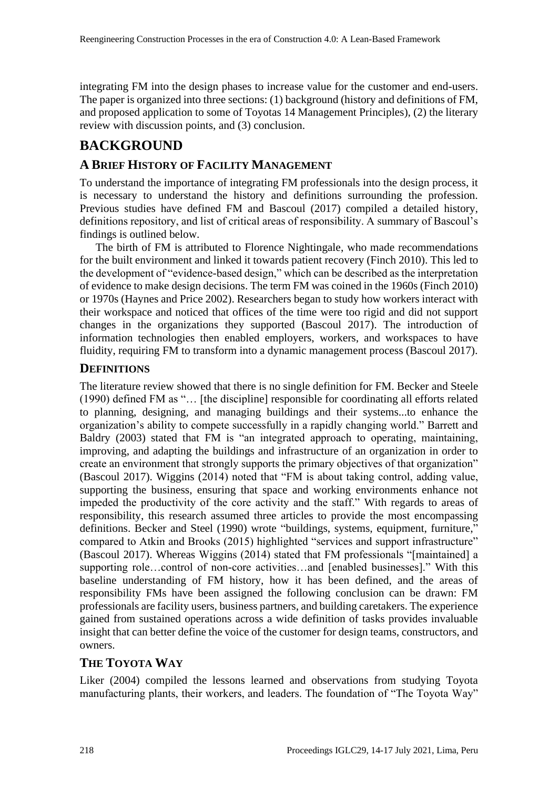integrating FM into the design phases to increase value for the customer and end-users. The paper is organized into three sections: (1) background (history and definitions of FM, and proposed application to some of Toyotas 14 Management Principles), (2) the literary review with discussion points, and (3) conclusion.

## **BACKGROUND**

### **A BRIEF HISTORY OF FACILITY MANAGEMENT**

To understand the importance of integrating FM professionals into the design process, it is necessary to understand the history and definitions surrounding the profession. Previous studies have defined FM and Bascoul (2017) compiled a detailed history, definitions repository, and list of critical areas of responsibility. A summary of Bascoul's findings is outlined below.

The birth of FM is attributed to Florence Nightingale, who made recommendations for the built environment and linked it towards patient recovery (Finch 2010). This led to the development of "evidence-based design," which can be described as the interpretation of evidence to make design decisions. The term FM was coined in the 1960s (Finch 2010) or 1970s (Haynes and Price 2002). Researchers began to study how workers interact with their workspace and noticed that offices of the time were too rigid and did not support changes in the organizations they supported (Bascoul 2017). The introduction of information technologies then enabled employers, workers, and workspaces to have fluidity, requiring FM to transform into a dynamic management process (Bascoul 2017).

#### **DEFINITIONS**

The literature review showed that there is no single definition for FM. Becker and Steele (1990) defined FM as "… [the discipline] responsible for coordinating all efforts related to planning, designing, and managing buildings and their systems...to enhance the organization's ability to compete successfully in a rapidly changing world." Barrett and Baldry (2003) stated that FM is "an integrated approach to operating, maintaining, improving, and adapting the buildings and infrastructure of an organization in order to create an environment that strongly supports the primary objectives of that organization" (Bascoul 2017). Wiggins (2014) noted that "FM is about taking control, adding value, supporting the business, ensuring that space and working environments enhance not impeded the productivity of the core activity and the staff." With regards to areas of responsibility, this research assumed three articles to provide the most encompassing definitions. Becker and Steel (1990) wrote "buildings, systems, equipment, furniture," compared to Atkin and Brooks (2015) highlighted "services and support infrastructure" (Bascoul 2017). Whereas Wiggins (2014) stated that FM professionals "[maintained] a supporting role…control of non-core activities…and [enabled businesses]." With this baseline understanding of FM history, how it has been defined, and the areas of responsibility FMs have been assigned the following conclusion can be drawn: FM professionals are facility users, business partners, and building caretakers. The experience gained from sustained operations across a wide definition of tasks provides invaluable insight that can better define the voice of the customer for design teams, constructors, and owners.

### **THE TOYOTA WAY**

Liker (2004) compiled the lessons learned and observations from studying Toyota manufacturing plants, their workers, and leaders. The foundation of "The Toyota Way"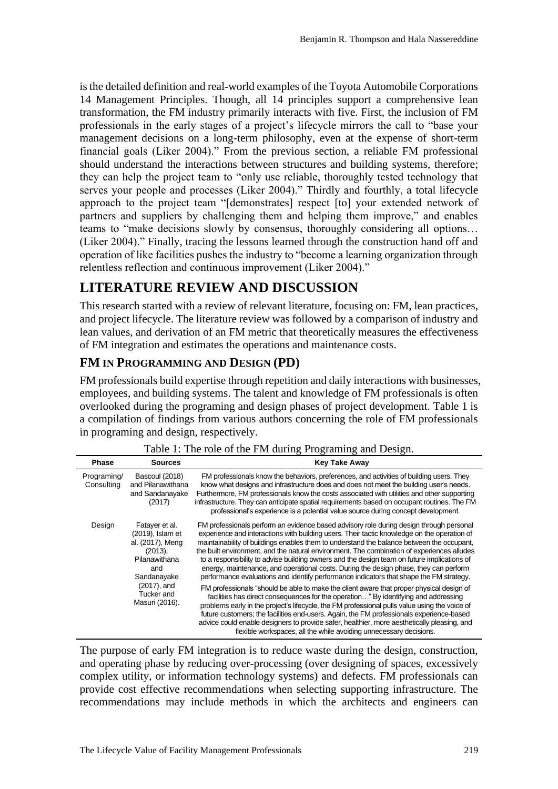is the detailed definition and real-world examples of the Toyota Automobile Corporations 14 Management Principles. Though, all 14 principles support a comprehensive lean transformation, the FM industry primarily interacts with five. First, the inclusion of FM professionals in the early stages of a project's lifecycle mirrors the call to "base your management decisions on a long-term philosophy, even at the expense of short-term financial goals (Liker 2004)." From the previous section, a reliable FM professional should understand the interactions between structures and building systems, therefore; they can help the project team to "only use reliable, thoroughly tested technology that serves your people and processes (Liker 2004)." Thirdly and fourthly, a total lifecycle approach to the project team "[demonstrates] respect [to] your extended network of partners and suppliers by challenging them and helping them improve," and enables teams to "make decisions slowly by consensus, thoroughly considering all options… (Liker 2004)." Finally, tracing the lessons learned through the construction hand off and operation of like facilities pushes the industry to "become a learning organization through relentless reflection and continuous improvement (Liker 2004)."

### **LITERATURE REVIEW AND DISCUSSION**

This research started with a review of relevant literature, focusing on: FM, lean practices, and project lifecycle. The literature review was followed by a comparison of industry and lean values, and derivation of an FM metric that theoretically measures the effectiveness of FM integration and estimates the operations and maintenance costs.

### **FM IN PROGRAMMING AND DESIGN (PD)**

FM professionals build expertise through repetition and daily interactions with businesses, employees, and building systems. The talent and knowledge of FM professionals is often overlooked during the programing and design phases of project development. Table 1 is a compilation of findings from various authors concerning the role of FM professionals in programing and design, respectively.

| <b>Phase</b>              | <b>Sources</b>                                                                                                                                             | <b>Key Take Away</b>                                                                                                                                                                                                                                                                                                                                                                                                                                                                                                                                                                                                                                                 |
|---------------------------|------------------------------------------------------------------------------------------------------------------------------------------------------------|----------------------------------------------------------------------------------------------------------------------------------------------------------------------------------------------------------------------------------------------------------------------------------------------------------------------------------------------------------------------------------------------------------------------------------------------------------------------------------------------------------------------------------------------------------------------------------------------------------------------------------------------------------------------|
| Programing/<br>Consulting | Bascoul (2018)<br>and Pilanawithana<br>and Sandanayake<br>(2017)                                                                                           | FM professionals know the behaviors, preferences, and activities of building users. They<br>know what designs and infrastructure does and does not meet the building user's needs.<br>Furthermore, FM professionals know the costs associated with utilities and other supporting<br>infrastructure. They can anticipate spatial requirements based on occupant routines. The FM<br>professional's experience is a potential value source during concept development.                                                                                                                                                                                                |
| Design                    | Fatayer et al.<br>(2019), Islam et<br>al. (2017), Meng<br>$(2013)$ ,<br>Pilanawithana<br>and<br>Sandanayake<br>(2017), and<br>Tucker and<br>Masuri (2016). | FM professionals perform an evidence based advisory role during design through personal<br>experience and interactions with building users. Their tactic knowledge on the operation of<br>maintainability of buildings enables them to understand the balance between the occupant,<br>the built environment, and the natural environment. The combination of experiences alludes<br>to a responsibility to advise building owners and the design team on future implications of<br>energy, maintenance, and operational costs. During the design phase, they can perform<br>performance evaluations and identify performance indicators that shape the FM strategy. |
|                           |                                                                                                                                                            | FM professionals "should be able to make the client aware that proper physical design of<br>facilities has direct consequences for the operation" By identifying and addressing<br>problems early in the project's lifecycle, the FM professional pulls value using the voice of<br>future customers; the facilities end-users. Again, the FM professionals experience-based<br>advice could enable designers to provide safer, healthier, more aesthetically pleasing, and<br>flexible workspaces, all the while avoiding unnecessary decisions.                                                                                                                    |

Table 1: The role of the FM during Programing and Design.

The purpose of early FM integration is to reduce waste during the design, construction, and operating phase by reducing over-processing (over designing of spaces, excessively complex utility, or information technology systems) and defects. FM professionals can provide cost effective recommendations when selecting supporting infrastructure. The recommendations may include methods in which the architects and engineers can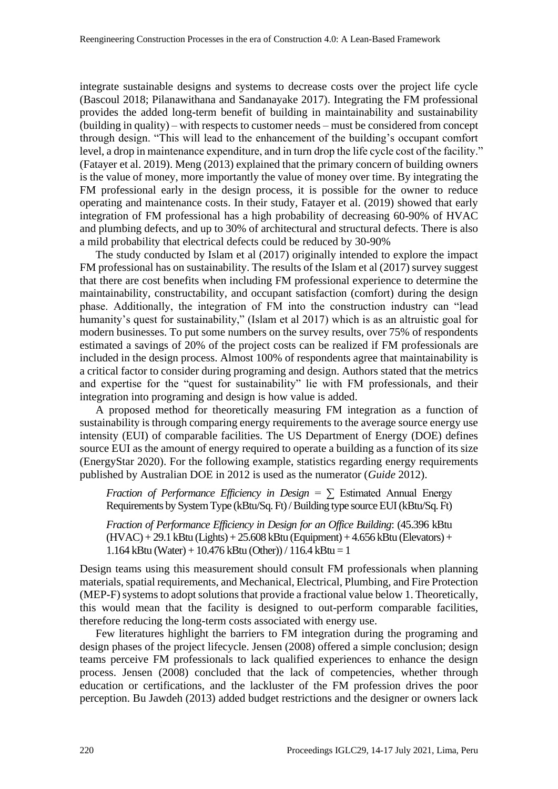integrate sustainable designs and systems to decrease costs over the project life cycle (Bascoul 2018; Pilanawithana and Sandanayake 2017). Integrating the FM professional provides the added long-term benefit of building in maintainability and sustainability (building in quality) – with respects to customer needs – must be considered from concept through design. "This will lead to the enhancement of the building's occupant comfort level, a drop in maintenance expenditure, and in turn drop the life cycle cost of the facility." (Fatayer et al. 2019). Meng (2013) explained that the primary concern of building owners is the value of money, more importantly the value of money over time. By integrating the FM professional early in the design process, it is possible for the owner to reduce operating and maintenance costs. In their study, Fatayer et al. (2019) showed that early integration of FM professional has a high probability of decreasing 60-90% of HVAC and plumbing defects, and up to 30% of architectural and structural defects. There is also a mild probability that electrical defects could be reduced by 30-90%

The study conducted by Islam et al (2017) originally intended to explore the impact FM professional has on sustainability. The results of the Islam et al (2017) survey suggest that there are cost benefits when including FM professional experience to determine the maintainability, constructability, and occupant satisfaction (comfort) during the design phase. Additionally, the integration of FM into the construction industry can "lead humanity's quest for sustainability," (Islam et al 2017) which is as an altruistic goal for modern businesses. To put some numbers on the survey results, over 75% of respondents estimated a savings of 20% of the project costs can be realized if FM professionals are included in the design process. Almost 100% of respondents agree that maintainability is a critical factor to consider during programing and design. Authors stated that the metrics and expertise for the "quest for sustainability" lie with FM professionals, and their integration into programing and design is how value is added.

A proposed method for theoretically measuring FM integration as a function of sustainability is through comparing energy requirements to the average source energy use intensity (EUI) of comparable facilities. The US Department of Energy (DOE) defines source EUI as the amount of energy required to operate a building as a function of its size (EnergyStar 2020). For the following example, statistics regarding energy requirements published by Australian DOE in 2012 is used as the numerator (*Guide* 2012).

*Fraction of Performance Efficiency in Design* = ∑ Estimated Annual Energy Requirements by System Type (kBtu/Sq. Ft) / Building type source EUI (kBtu/Sq. Ft)

*Fraction of Performance Efficiency in Design for an Office Building*: (45.396 kBtu  $(HVAC) + 29.1$  kBtu  $(Lights) + 25.608$  kBtu  $(Equipment) + 4.656$  kBtu  $(Elevators) +$ 1.164 kBtu (Water) + 10.476 kBtu (Other)) / 116.4 kBtu = 1

Design teams using this measurement should consult FM professionals when planning materials, spatial requirements, and Mechanical, Electrical, Plumbing, and Fire Protection (MEP-F) systems to adopt solutions that provide a fractional value below 1. Theoretically, this would mean that the facility is designed to out-perform comparable facilities, therefore reducing the long-term costs associated with energy use.

Few literatures highlight the barriers to FM integration during the programing and design phases of the project lifecycle. Jensen (2008) offered a simple conclusion; design teams perceive FM professionals to lack qualified experiences to enhance the design process. Jensen (2008) concluded that the lack of competencies, whether through education or certifications, and the lackluster of the FM profession drives the poor perception. Bu Jawdeh (2013) added budget restrictions and the designer or owners lack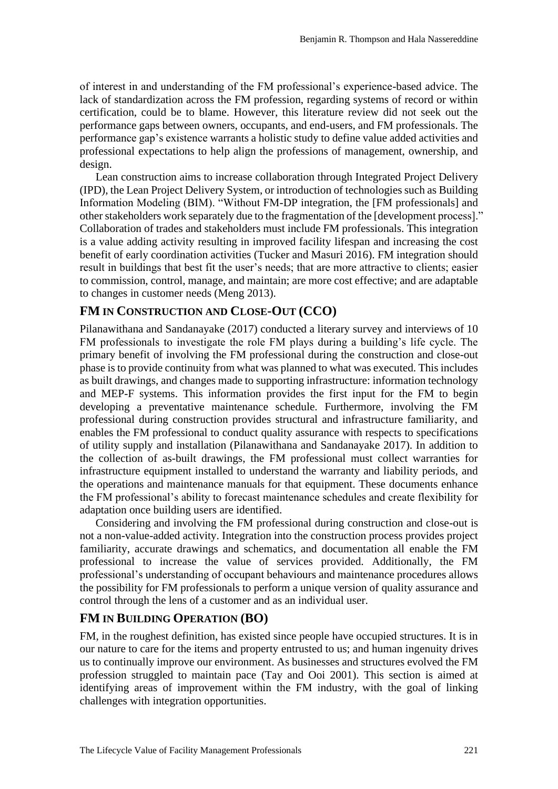of interest in and understanding of the FM professional's experience-based advice. The lack of standardization across the FM profession, regarding systems of record or within certification, could be to blame. However, this literature review did not seek out the performance gaps between owners, occupants, and end-users, and FM professionals. The performance gap's existence warrants a holistic study to define value added activities and professional expectations to help align the professions of management, ownership, and design.

Lean construction aims to increase collaboration through Integrated Project Delivery (IPD), the Lean Project Delivery System, or introduction of technologies such as Building Information Modeling (BIM). "Without FM-DP integration, the [FM professionals] and other stakeholders work separately due to the fragmentation of the [development process]." Collaboration of trades and stakeholders must include FM professionals. This integration is a value adding activity resulting in improved facility lifespan and increasing the cost benefit of early coordination activities (Tucker and Masuri 2016). FM integration should result in buildings that best fit the user's needs; that are more attractive to clients; easier to commission, control, manage, and maintain; are more cost effective; and are adaptable to changes in customer needs (Meng 2013).

#### **FM IN CONSTRUCTION AND CLOSE-OUT (CCO)**

Pilanawithana and Sandanayake (2017) conducted a literary survey and interviews of 10 FM professionals to investigate the role FM plays during a building's life cycle. The primary benefit of involving the FM professional during the construction and close-out phase is to provide continuity from what was planned to what was executed. This includes as built drawings, and changes made to supporting infrastructure: information technology and MEP-F systems. This information provides the first input for the FM to begin developing a preventative maintenance schedule. Furthermore, involving the FM professional during construction provides structural and infrastructure familiarity, and enables the FM professional to conduct quality assurance with respects to specifications of utility supply and installation (Pilanawithana and Sandanayake 2017). In addition to the collection of as-built drawings, the FM professional must collect warranties for infrastructure equipment installed to understand the warranty and liability periods, and the operations and maintenance manuals for that equipment. These documents enhance the FM professional's ability to forecast maintenance schedules and create flexibility for adaptation once building users are identified.

Considering and involving the FM professional during construction and close-out is not a non-value-added activity. Integration into the construction process provides project familiarity, accurate drawings and schematics, and documentation all enable the FM professional to increase the value of services provided. Additionally, the FM professional's understanding of occupant behaviours and maintenance procedures allows the possibility for FM professionals to perform a unique version of quality assurance and control through the lens of a customer and as an individual user.

#### **FM IN BUILDING OPERATION (BO)**

FM, in the roughest definition, has existed since people have occupied structures. It is in our nature to care for the items and property entrusted to us; and human ingenuity drives us to continually improve our environment. As businesses and structures evolved the FM profession struggled to maintain pace (Tay and Ooi 2001). This section is aimed at identifying areas of improvement within the FM industry, with the goal of linking challenges with integration opportunities.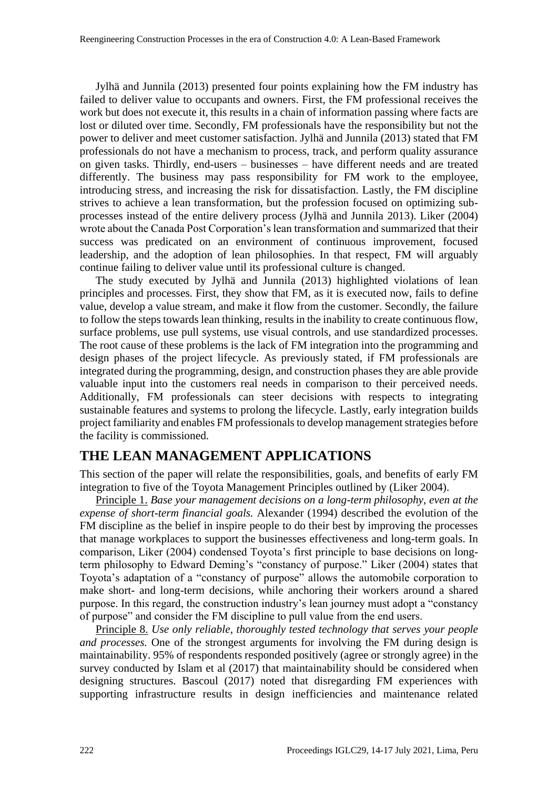Jylhä and Junnila (2013) presented four points explaining how the FM industry has failed to deliver value to occupants and owners. First, the FM professional receives the work but does not execute it, this results in a chain of information passing where facts are lost or diluted over time. Secondly, FM professionals have the responsibility but not the power to deliver and meet customer satisfaction. Jylhä and Junnila (2013) stated that FM professionals do not have a mechanism to process, track, and perform quality assurance on given tasks. Thirdly, end-users – businesses – have different needs and are treated differently. The business may pass responsibility for FM work to the employee, introducing stress, and increasing the risk for dissatisfaction. Lastly, the FM discipline strives to achieve a lean transformation, but the profession focused on optimizing subprocesses instead of the entire delivery process (Jylhä and Junnila 2013). Liker (2004) wrote about the Canada Post Corporation's lean transformation and summarized that their success was predicated on an environment of continuous improvement, focused leadership, and the adoption of lean philosophies. In that respect, FM will arguably continue failing to deliver value until its professional culture is changed.

The study executed by Jylhä and Junnila (2013) highlighted violations of lean principles and processes. First, they show that FM, as it is executed now, fails to define value, develop a value stream, and make it flow from the customer. Secondly, the failure to follow the steps towards lean thinking, results in the inability to create continuous flow, surface problems, use pull systems, use visual controls, and use standardized processes. The root cause of these problems is the lack of FM integration into the programming and design phases of the project lifecycle. As previously stated, if FM professionals are integrated during the programming, design, and construction phases they are able provide valuable input into the customers real needs in comparison to their perceived needs. Additionally, FM professionals can steer decisions with respects to integrating sustainable features and systems to prolong the lifecycle. Lastly, early integration builds project familiarity and enables FM professionals to develop management strategies before the facility is commissioned.

### **THE LEAN MANAGEMENT APPLICATIONS**

This section of the paper will relate the responsibilities, goals, and benefits of early FM integration to five of the Toyota Management Principles outlined by (Liker 2004).

Principle 1. *Base your management decisions on a long-term philosophy, even at the expense of short-term financial goals.* Alexander (1994) described the evolution of the FM discipline as the belief in inspire people to do their best by improving the processes that manage workplaces to support the businesses effectiveness and long-term goals. In comparison, Liker (2004) condensed Toyota's first principle to base decisions on longterm philosophy to Edward Deming's "constancy of purpose." Liker (2004) states that Toyota's adaptation of a "constancy of purpose" allows the automobile corporation to make short- and long-term decisions, while anchoring their workers around a shared purpose. In this regard, the construction industry's lean journey must adopt a "constancy of purpose" and consider the FM discipline to pull value from the end users.

Principle 8. *Use only reliable, thoroughly tested technology that serves your people and processes.* One of the strongest arguments for involving the FM during design is maintainability. 95% of respondents responded positively (agree or strongly agree) in the survey conducted by Islam et al (2017) that maintainability should be considered when designing structures. Bascoul (2017) noted that disregarding FM experiences with supporting infrastructure results in design inefficiencies and maintenance related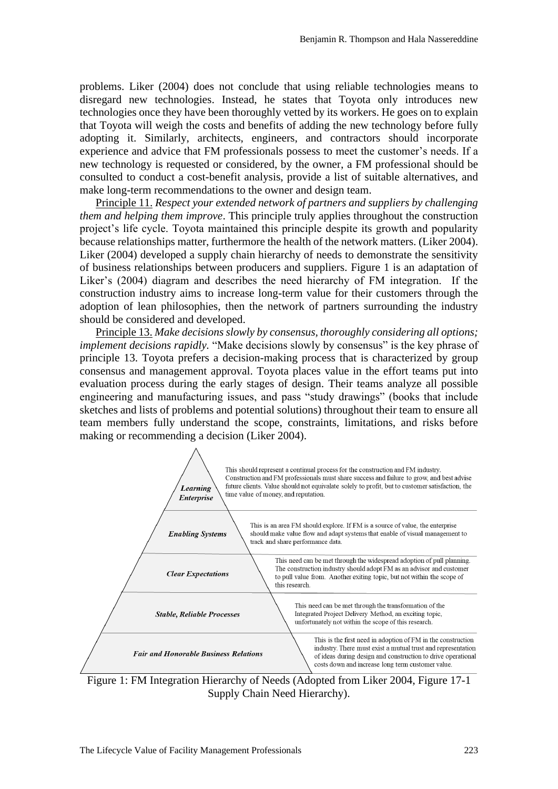problems. Liker (2004) does not conclude that using reliable technologies means to disregard new technologies. Instead, he states that Toyota only introduces new technologies once they have been thoroughly vetted by its workers. He goes on to explain that Toyota will weigh the costs and benefits of adding the new technology before fully adopting it. Similarly, architects, engineers, and contractors should incorporate experience and advice that FM professionals possess to meet the customer's needs. If a new technology is requested or considered, by the owner, a FM professional should be consulted to conduct a cost-benefit analysis, provide a list of suitable alternatives, and make long-term recommendations to the owner and design team.

Principle 11. *Respect your extended network of partners and suppliers by challenging them and helping them improve*. This principle truly applies throughout the construction project's life cycle. Toyota maintained this principle despite its growth and popularity because relationships matter, furthermore the health of the network matters. (Liker 2004). Liker (2004) developed a supply chain hierarchy of needs to demonstrate the sensitivity of business relationships between producers and suppliers. Figure 1 is an adaptation of Liker's (2004) diagram and describes the need hierarchy of FM integration. If the construction industry aims to increase long-term value for their customers through the adoption of lean philosophies, then the network of partners surrounding the industry should be considered and developed.

Principle 13. *Make decisions slowly by consensus, thoroughly considering all options; implement decisions rapidly.* "Make decisions slowly by consensus" is the key phrase of principle 13. Toyota prefers a decision-making process that is characterized by group consensus and management approval. Toyota places value in the effort teams put into evaluation process during the early stages of design. Their teams analyze all possible engineering and manufacturing issues, and pass "study drawings" (books that include sketches and lists of problems and potential solutions) throughout their team to ensure all team members fully understand the scope, constraints, limitations, and risks before making or recommending a decision (Liker 2004).



Figure 1: FM Integration Hierarchy of Needs (Adopted from Liker 2004, Figure 17-1 Supply Chain Need Hierarchy).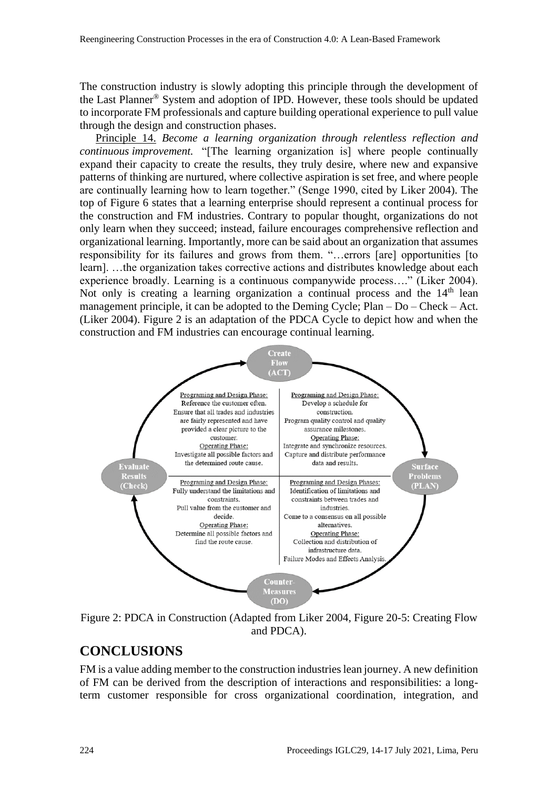The construction industry is slowly adopting this principle through the development of the Last Planner® System and adoption of IPD. However, these tools should be updated to incorporate FM professionals and capture building operational experience to pull value through the design and construction phases.

Principle 14. *Become a learning organization through relentless reflection and continuous improvement.* "[The learning organization is] where people continually expand their capacity to create the results, they truly desire, where new and expansive patterns of thinking are nurtured, where collective aspiration is set free, and where people are continually learning how to learn together." (Senge 1990, cited by Liker 2004). The top of Figure 6 states that a learning enterprise should represent a continual process for the construction and FM industries. Contrary to popular thought, organizations do not only learn when they succeed; instead, failure encourages comprehensive reflection and organizational learning. Importantly, more can be said about an organization that assumes responsibility for its failures and grows from them. "…errors [are] opportunities [to learn]. …the organization takes corrective actions and distributes knowledge about each experience broadly. Learning is a continuous companywide process…." (Liker 2004). Not only is creating a learning organization a continual process and the  $14<sup>th</sup>$  lean management principle, it can be adopted to the Deming Cycle; Plan – Do – Check – Act. (Liker 2004). Figure 2 is an adaptation of the PDCA Cycle to depict how and when the construction and FM industries can encourage continual learning.



Figure 2: PDCA in Construction (Adapted from Liker 2004, Figure 20-5: Creating Flow and PDCA).

### **CONCLUSIONS**

FM is a value adding member to the construction industries lean journey. A new definition of FM can be derived from the description of interactions and responsibilities: a longterm customer responsible for cross organizational coordination, integration, and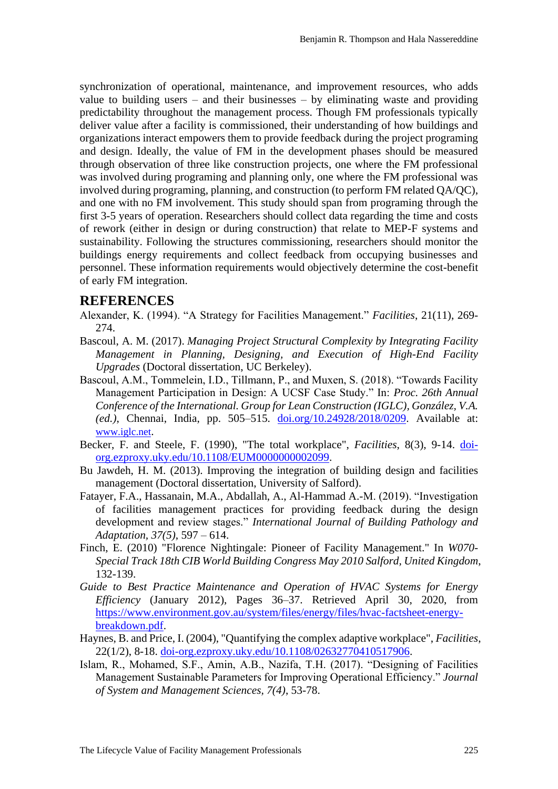synchronization of operational, maintenance, and improvement resources, who adds value to building users – and their businesses – by eliminating waste and providing predictability throughout the management process. Though FM professionals typically deliver value after a facility is commissioned, their understanding of how buildings and organizations interact empowers them to provide feedback during the project programing and design. Ideally, the value of FM in the development phases should be measured through observation of three like construction projects, one where the FM professional was involved during programing and planning only, one where the FM professional was involved during programing, planning, and construction (to perform FM related QA/QC), and one with no FM involvement. This study should span from programing through the first 3-5 years of operation. Researchers should collect data regarding the time and costs of rework (either in design or during construction) that relate to MEP-F systems and sustainability. Following the structures commissioning, researchers should monitor the buildings energy requirements and collect feedback from occupying businesses and personnel. These information requirements would objectively determine the cost-benefit of early FM integration.

#### **REFERENCES**

- Alexander, K. (1994). "A Strategy for Facilities Management." *Facilities*, 21(11), 269- 274.
- Bascoul, A. M. (2017). *Managing Project Structural Complexity by Integrating Facility Management in Planning, Designing, and Execution of High-End Facility Upgrades* (Doctoral dissertation, UC Berkeley).
- Bascoul, A.M., Tommelein, I.D., Tillmann, P., and Muxen, S. (2018). "Towards Facility Management Participation in Design: A UCSF Case Study." In: *Proc. 26th Annual Conference of the International. Group for Lean Construction (IGLC), González, V.A. (ed.)*, Chennai, India, pp. 505–515. [doi.org/10.24928/2018/0209.](http://doi.org/10.24928/2018/0209) Available at: [www.iglc.net](http://www.iglc.net/).
- Becker, F. and Steele, F. (1990), "The total workplace", *Facilities*, 8(3), 9-14. [doi](https://doi-org.ezproxy.uky.edu/10.1108/EUM0000000002099)[org.ezproxy.uky.edu/10.1108/EUM0000000002099.](https://doi-org.ezproxy.uky.edu/10.1108/EUM0000000002099)
- Bu Jawdeh, H. M. (2013). Improving the integration of building design and facilities management (Doctoral dissertation, University of Salford).
- Fatayer, F.A., Hassanain, M.A., Abdallah, A., Al-Hammad A.-M. (2019). "Investigation of facilities management practices for providing feedback during the design development and review stages." *International Journal of Building Pathology and Adaptation, 37(5)*, 597 – 614.
- Finch, E. (2010) "Florence Nightingale: Pioneer of Facility Management." In *W070- Special Track 18th CIB World Building Congress May 2010 Salford, United Kingdom*, 132-139.
- *Guide to Best Practice Maintenance and Operation of HVAC Systems for Energy Efficiency* (January 2012), Pages 36–37. Retrieved April 30, 2020, from [https://www.environment.gov.au/system/files/energy/files/hvac-factsheet-energy](https://www.environment.gov.au/system/files/energy/files/hvac-factsheet-energy-breakdown.pdf)[breakdown.pdf.](https://www.environment.gov.au/system/files/energy/files/hvac-factsheet-energy-breakdown.pdf)
- Haynes, B. and Price, I. (2004), "Quantifying the complex adaptive workplace", *Facilities*, 22(1/2), 8-18. [doi-org.ezproxy.uky.edu/10.1108/02632770410517906.](https://doi-org.ezproxy.uky.edu/10.1108/02632770410517906)
- Islam, R., Mohamed, S.F., Amin, A.B., Nazifa, T.H. (2017). "Designing of Facilities Management Sustainable Parameters for Improving Operational Efficiency." *Journal of System and Management Sciences, 7(4)*, 53-78.